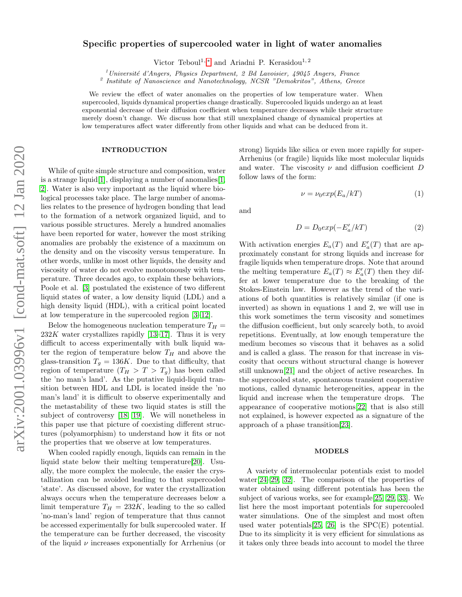# Specific properties of supercooled water in light of water anomalies

Victor Teboul<sup>1,\*</sup> and Ariadni P. Kerasidou<sup>1,2</sup>

 $1$ Université d'Angers, Physics Department, 2 Bd Lavoisier, 49045 Angers, France

<sup>2</sup> Institute of Nanoscience and Nanotechnology, NCSR "Demokritos", Athens, Greece

We review the effect of water anomalies on the properties of low temperature water. When supercooled, liquids dynamical properties change drastically. Supercooled liquids undergo an at least exponential decrease of their diffusion coefficient when temperature decreases while their structure merely doesn't change. We discuss how that still unexplained change of dynamical properties at low temperatures affect water differently from other liquids and what can be deduced from it.

## INTRODUCTION

While of quite simple structure and composition, water is a strange liquid<sup>[\[1\]](#page-5-1)</sup>, displaying a number of anomalies<sup>[1]</sup>. [2\]](#page-5-2). Water is also very important as the liquid where biological processes take place. The large number of anomalies relates to the presence of hydrogen bonding that lead to the formation of a network organized liquid, and to various possible structures. Merely a hundred anomalies have been reported for water, however the most striking anomalies are probably the existence of a maximum on the density and on the viscosity versus temperature. In other words, unlike in most other liquids, the density and viscosity of water do not evolve monotonously with temperature. Three decades ago, to explain these behaviors, Poole et al. [\[3\]](#page-5-3) postulated the existence of two different liquid states of water, a low density liquid (LDL) and a high density liquid (HDL), with a critical point located at low temperature in the supercooled region [\[3–](#page-5-3)[12\]](#page-5-4).

Below the homogeneous nucleation temperature  $T_H =$  $232K$  water crystallizes rapidly [\[13–](#page-5-5)[17\]](#page-5-6). Thus it is very difficult to access experimentally with bulk liquid water the region of temperature below  $T_H$  and above the glass-transition  $T_q = 136K$ . Due to that difficulty, that region of temperature  $(T_H > T > T_q)$  has been called the 'no man's land'. As the putative liquid-liquid transition between HDL and LDL is located inside the 'no man's land' it is difficult to observe experimentally and the metastability of these two liquid states is still the subject of controversy [\[18,](#page-5-7) [19\]](#page-5-8). We will nonetheless in this paper use that picture of coexisting different structures (polyamorphism) to understand how it fits or not the properties that we observe at low temperatures.

When cooled rapidly enough, liquids can remain in the liquid state below their melting temperature[\[20\]](#page-5-9). Usually, the more complex the molecule, the easier the crystallization can be avoided leading to that supercooled 'state'. As discussed above, for water the crystallization always occurs when the temperature decreases below a limit temperature  $T_H = 232K$ , leading to the so called 'no-man's land' region of temperature that thus cannot be accessed experimentally for bulk supercooled water. If the temperature can be further decreased, the viscosity of the liquid  $\nu$  increases exponentially for Arrhenius (or

strong) liquids like silica or even more rapidly for super-Arrhenius (or fragile) liquids like most molecular liquids and water. The viscosity  $\nu$  and diffusion coefficient  $D$ follow laws of the form:

$$
\nu = \nu_0 exp(E_a/kT) \tag{1}
$$

and

$$
D = D_0 exp(-E_a'/kT)
$$
 (2)

With activation energies  $E_a(T)$  and  $E'_a(T)$  that are approximately constant for strong liquids and increase for fragile liquids when temperature drops. Note that around the melting temperature  $E_a(T) \approx E'_a(T)$  then they differ at lower temperature due to the breaking of the Stokes-Einstein law. However as the trend of the variations of both quantities is relatively similar (if one is inverted) as shown in equations 1 and 2, we will use in this work sometimes the term viscosity and sometimes the diffusion coefficient, but only scarcely both, to avoid repetitions. Eventually, at low enough temperature the medium becomes so viscous that it behaves as a solid and is called a glass. The reason for that increase in viscosity that occurs without structural change is however still unknown[\[21\]](#page-5-10) and the object of active researches. In the supercooled state, spontaneous transient cooperative motions, called dynamic heterogeneities, appear in the liquid and increase when the temperature drops. The appearance of cooperative motions[\[22\]](#page-5-11) that is also still not explained, is however expected as a signature of the approach of a phase transition[\[23\]](#page-5-12).

## MODELS

A variety of intermolecular potentials exist to model water $[24-29, 32]$  $[24-29, 32]$  $[24-29, 32]$ . The comparison of the properties of water obtained using different potentials has been the subject of various works, see for example[\[25,](#page-5-16) [29,](#page-5-14) [33\]](#page-5-17). We list here the most important potentials for supercooled water simulations. One of the simplest and most often used water potentials  $[25, 26]$  $[25, 26]$  is the SPC(E) potential. Due to its simplicity it is very efficient for simulations as it takes only three beads into account to model the three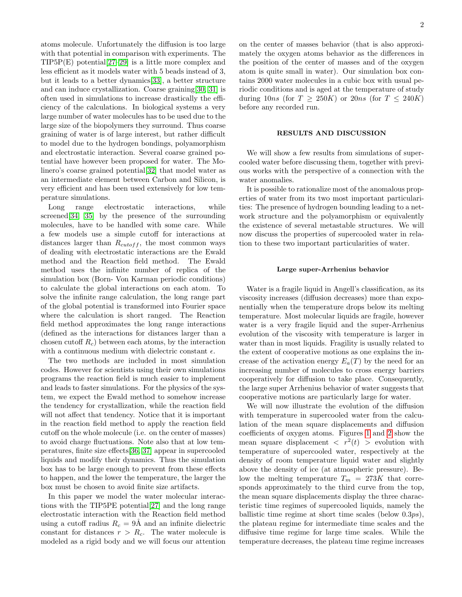atoms molecule. Unfortunately the diffusion is too large with that potential in comparison with experiments. The TIP5P(E) potential[\[27](#page-5-19)[–29\]](#page-5-14) is a little more complex and less efficient as it models water with 5 beads instead of 3, but it leads to a better dynamics[\[33\]](#page-5-17), a better structure and can induce crystallization. Coarse graining[\[30,](#page-5-20) [31\]](#page-5-21) is often used in simulations to increase drastically the efficiency of the calculations. In biological systems a very large number of water molecules has to be used due to the large size of the biopolymers they surround. Thus coarse graining of water is of large interest, but rather difficult to model due to the hydrogen bondings, polyamorphism and electrostatic interaction. Several coarse grained potential have however been proposed for water. The Molinero's coarse grained potential[\[32\]](#page-5-15) that model water as an intermediate element between Carbon and Silicon, is very efficient and has been used extensively for low temperature simulations.

Long range electrostatic interactions, while screened[\[34,](#page-5-22) [35\]](#page-5-23) by the presence of the surrounding molecules, have to be handled with some care. While a few models use a simple cutoff for interactions at distances larger than  $R_{cutoff}$ , the most common ways of dealing with electrostatic interactions are the Ewald method and the Reaction field method. The Ewald method uses the infinite number of replica of the simulation box (Born- Von Karman periodic conditions) to calculate the global interactions on each atom. To solve the infinite range calculation, the long range part of the global potential is transformed into Fourier space where the calculation is short ranged. The Reaction field method approximates the long range interactions (defined as the interactions for distances larger than a chosen cutoff  $R_c$ ) between each atoms, by the interaction with a continuous medium with dielectric constant  $\epsilon$ .

The two methods are included in most simulation codes. However for scientists using their own simulations programs the reaction field is much easier to implement and leads to faster simulations. For the physics of the system, we expect the Ewald method to somehow increase the tendency for crystallization, while the reaction field will not affect that tendency. Notice that it is important in the reaction field method to apply the reaction field cutoff on the whole molecule (i.e. on the center of masses) to avoid charge fluctuations. Note also that at low temperatures, finite size effects[\[36,](#page-5-24) [37\]](#page-5-25) appear in supercooled liquids and modify their dynamics. Thus the simulation box has to be large enough to prevent from these effects to happen, and the lower the temperature, the larger the box must be chosen to avoid finite size artifacts.

In this paper we model the water molecular interactions with the TIP5PE potential[\[27\]](#page-5-19) and the long range electrostatic interaction with the Reaction field method using a cutoff radius  $R_c = 9$ Å and an infinite dielectric constant for distances  $r > R_c$ . The water molecule is modeled as a rigid body and we will focus our attention on the center of masses behavior (that is also approximately the oxygen atoms behavior as the differences in the position of the center of masses and of the oxygen atom is quite small in water). Our simulation box contains 2000 water molecules in a cubic box with usual periodic conditions and is aged at the temperature of study during 10ns (for  $T \geq 250K$ ) or  $20ns$  (for  $T \leq 240K$ ) before any recorded run.

## RESULTS AND DISCUSSION

We will show a few results from simulations of supercooled water before discussing them, together with previous works with the perspective of a connection with the water anomalies.

It is possible to rationalize most of the anomalous properties of water from its two most important particularities: The presence of hydrogen bounding leading to a network structure and the polyamorphism or equivalently the existence of several metastable structures. We will now discuss the properties of supercooled water in relation to these two important particularities of water.

### Large super-Arrhenius behavior

Water is a fragile liquid in Angell's classification, as its viscosity increases (diffusion decreases) more than exponentially when the temperature drops below its melting temperature. Most molecular liquids are fragile, however water is a very fragile liquid and the super-Arrhenius evolution of the viscosity with temperature is larger in water than in most liquids. Fragility is usually related to the extent of cooperative motions as one explains the increase of the activation energy  $E_a(T)$  by the need for an increasing number of molecules to cross energy barriers cooperatively for diffusion to take place. Consequently, the large super Arrhenius behavior of water suggests that cooperative motions are particularly large for water.

We will now illustrate the evolution of the diffusion with temperature in supercooled water from the calculation of the mean square displacements and diffusion coefficients of oxygen atoms. Figures [1](#page-2-0) and [2](#page-2-1) show the mean square displacement  $\langle r^2(t) \rangle$  evolution with temperature of supercooled water, respectively at the density of room temperature liquid water and slightly above the density of ice (at atmospheric pressure). Below the melting temperature  $T_m = 273K$  that corresponds approximately to the third curve from the top, the mean square displacements display the three characteristic time regimes of supercooled liquids, namely the ballistic time regime at short time scales (below 0.3ps), the plateau regime for intermediate time scales and the diffusive time regime for large time scales. While the temperature decreases, the plateau time regime increases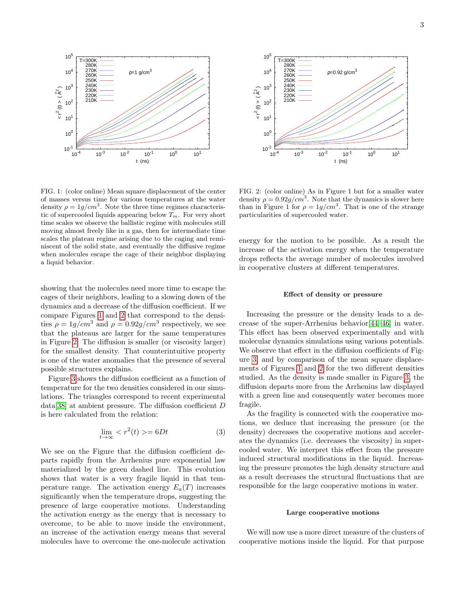

<span id="page-2-0"></span>FIG. 1: (color online) Mean square displacement of the center of masses versus time for various temperatures at the water density  $\rho = 1g/cm^3$ . Note the three time regimes characteristic of supercooled liquids appearing below  $T_m$ . For very short time scales we observe the ballistic regime with molecules still moving almost freely like in a gas, then for intermediate time scales the plateau regime arising due to the caging and reminiscent of the solid state, and eventually the diffusive regime when molecules escape the cage of their neighbor displaying a liquid behavior.

showing that the molecules need more time to escape the cages of their neighbors, leading to a slowing down of the dynamics and a decrease of the diffusion coefficient. If we compare Figures [1](#page-2-0) and [2](#page-2-1) that correspond to the densities  $\rho = 1g/cm^3$  and  $\rho = 0.92g/cm^3$  respectively, we see that the plateaus are larger for the same temperatures in Figure [2.](#page-2-1) The diffusion is smaller (or viscosity larger) for the smallest density. That counterintuitive property is one of the water anomalies that the presence of several possible structures explains.

Figure [3](#page-3-0) shows the diffusion coefficient as a function of temperature for the two densities considered in our simulations. The triangles correspond to recent experimental data[\[38\]](#page-6-0) at ambient pressure. The diffusion coefficient D is here calculated from the relation:

$$
\lim_{t \to \infty} \langle r^2(t) \rangle = 6Dt \tag{3}
$$

We see on the Figure that the diffusion coefficient departs rapidly from the Arrhenius pure exponential law materialized by the green dashed line. This evolution shows that water is a very fragile liquid in that temperature range. The activation energy  $E_a(T)$  increases significantly when the temperature drops, suggesting the presence of large cooperative motions. Understanding the activation energy as the energy that is necessary to overcome, to be able to move inside the environment, an increase of the activation energy means that several molecules have to overcome the one-molecule activation



<span id="page-2-1"></span>FIG. 2: (color online) As in Figure 1 but for a smaller water density  $\rho = 0.92g/cm^3$ . Note that the dynamics is slower here than in Figure 1 for  $\rho = 1g/cm^3$ . That is one of the strange particularities of supercooled water.

energy for the motion to be possible. As a result the increase of the activation energy when the temperature drops reflects the average number of molecules involved in cooperative clusters at different temperatures.

## Effect of density or pressure

Increasing the pressure or the density leads to a decrease of the super-Arrhenius behavior[\[44–](#page-6-1)[46\]](#page-6-2) in water. This effect has been observed experimentally and with molecular dynamics simulations using various potentials. We observe that effect in the diffusion coefficients of Figure [3,](#page-3-0) and by comparison of the mean square displacements of Figures [1](#page-2-0) and [2](#page-2-1) for the two different densities studied. As the density is made smaller in Figure [3,](#page-3-0) the diffusion departs more from the Arrhenius law displayed with a green line and consequently water becomes more fragile.

As the fragility is connected with the cooperative motions, we deduce that increasing the pressure (or the density) decreases the cooperative motions and accelerates the dynamics (i.e. decreases the viscosity) in supercooled water. We interpret this effect from the pressure induced structural modifications in the liquid. Increasing the pressure promotes the high density structure and as a result decreases the structural fluctuations that are responsible for the large cooperative motions in water.

#### Large cooperative motions

We will now use a more direct measure of the clusters of cooperative motions inside the liquid. For that purpose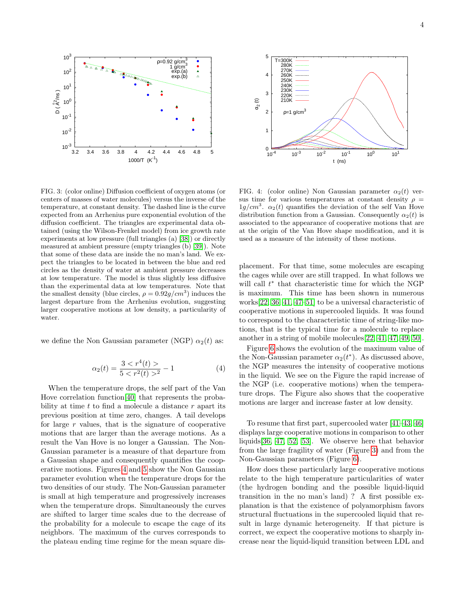

<span id="page-3-0"></span>FIG. 3: (color online) Diffusion coefficient of oxygen atoms (or centers of masses of water molecules) versus the inverse of the temperature, at constant density. The dashed line is the curve expected from an Arrhenius pure exponential evolution of the diffusion coefficient. The triangles are experimental data obtained (using the Wilson-Frenkel model) from ice growth rate experiments at low pressure (full triangles (a) [\[38\]](#page-6-0)) or directly measured at ambient pressure (empty triangles (b) [\[39\]](#page-6-3)). Note that some of these data are inside the no man's land. We expect the triangles to be located in between the blue and red circles as the density of water at ambient pressure decreases at low temperature. The model is thus slightly less diffusive than the experimental data at low temperatures. Note that the smallest density (blue circles,  $\rho = 0.92g/cm^3$ ) induces the largest departure from the Arrhenius evolution, suggesting larger cooperative motions at low density, a particularity of water.

we define the Non Gaussian parameter (NGP)  $\alpha_2(t)$  as:

$$
\alpha_2(t) = \frac{3 < r^4(t) >}{5 < r^2(t) >^2} - 1\tag{4}
$$

When the temperature drops, the self part of the Van Hove correlation function[\[40\]](#page-6-4) that represents the probability at time  $t$  to find a molecule a distance  $r$  apart its previous position at time zero, changes. A tail develops for large  $r$  values, that is the signature of cooperative motions that are larger than the average motions. As a result the Van Hove is no longer a Gaussian. The Non-Gaussian parameter is a measure of that departure from a Gaussian shape and consequently quantifies the cooperative motions. Figures [4](#page-3-1) and [5](#page-4-0) show the Non Gaussian parameter evolution when the temperature drops for the two densities of our study. The Non-Gaussian parameter is small at high temperature and progressively increases when the temperature drops. Simultaneously the curves are shifted to larger time scales due to the decrease of the probability for a molecule to escape the cage of its neighbors. The maximum of the curves corresponds to the plateau ending time regime for the mean square dis-



<span id="page-3-1"></span>FIG. 4: (color online) Non Gaussian parameter  $\alpha_2(t)$  versus time for various temperatures at constant density  $\rho =$  $1g/cm^3$ .  $\alpha_2(t)$  quantifies the deviation of the self Van Hove distribution function from a Gaussian. Consequently  $\alpha_2(t)$  is associated to the appearance of cooperative motions that are at the origin of the Van Hove shape modification, and it is used as a measure of the intensity of these motions.

placement. For that time, some molecules are escaping the cages while over are still trapped. In what follows we will call  $t^*$  that characteristic time for which the NGP is maximum. This time has been shown in numerous works[\[22,](#page-5-11) [36,](#page-5-24) [41,](#page-6-5) [47](#page-6-6)[–51\]](#page-6-7) to be a universal characteristic of cooperative motions in supercooled liquids. It was found to correspond to the characteristic time of string-like motions, that is the typical time for a molecule to replace another in a string of mobile molecules[\[22,](#page-5-11) [41,](#page-6-5) [47,](#page-6-6) [49,](#page-6-8) [50\]](#page-6-9).

Figure [6](#page-4-1) shows the evolution of the maximum value of the Non-Gaussian parameter  $\alpha_2(t^*)$ . As discussed above, the NGP measures the intensity of cooperative motions in the liquid. We see on the Figure the rapid increase of the NGP (i.e. cooperative motions) when the temperature drops. The Figure also shows that the cooperative motions are larger and increase faster at low density.

To resume that first part, supercooled water [\[41](#page-6-5)[–43,](#page-6-10) [46\]](#page-6-2) displays large cooperative motions in comparison to other liquids[\[36,](#page-5-24) [47,](#page-6-6) [52,](#page-6-11) [53\]](#page-6-12). We observe here that behavior from the large fragility of water (Figure [3\)](#page-3-0) and from the Non-Gaussian parameters (Figure [6\)](#page-4-1).

How does these particularly large cooperative motions relate to the high temperature particularities of water (the hydrogen bonding and the possible liquid-liquid transition in the no man's land) ? A first possible explanation is that the existence of polyamorphism favors structural fluctuations in the supercooled liquid that result in large dynamic heterogeneity. If that picture is correct, we expect the cooperative motions to sharply increase near the liquid-liquid transition between LDL and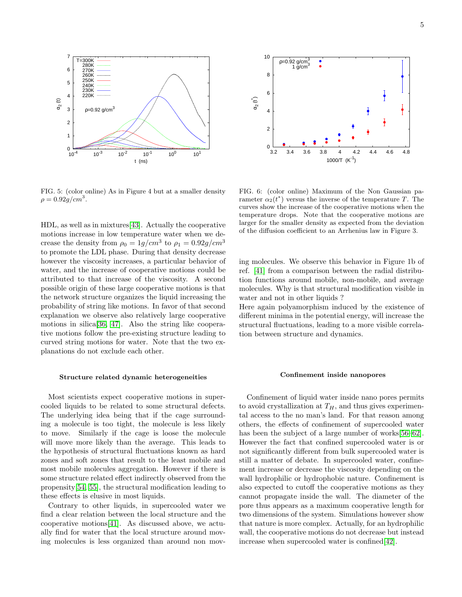

<span id="page-4-0"></span>FIG. 5: (color online) As in Figure 4 but at a smaller density  $\rho = 0.92 g/cm^{3}$ .

HDL, as well as in mixtures[\[43\]](#page-6-10). Actually the cooperative motions increase in low temperature water when we decrease the density from  $\rho_0 = 1g/cm^3$  to  $\rho_1 = 0.92g/cm^3$ to promote the LDL phase. During that density decrease however the viscosity increases, a particular behavior of water, and the increase of cooperative motions could be attributed to that increase of the viscosity. A second possible origin of these large cooperative motions is that the network structure organizes the liquid increasing the probability of string like motions. In favor of that second explanation we observe also relatively large cooperative motions in silica[\[36,](#page-5-24) [47\]](#page-6-6). Also the string like cooperative motions follow the pre-existing structure leading to curved string motions for water. Note that the two explanations do not exclude each other.

#### Structure related dynamic heterogeneities

Most scientists expect cooperative motions in supercooled liquids to be related to some structural defects. The underlying idea being that if the cage surrounding a molecule is too tight, the molecule is less likely to move. Similarly if the cage is loose the molecule will move more likely than the average. This leads to the hypothesis of structural fluctuations known as hard zones and soft zones that result to the least mobile and most mobile molecules aggregation. However if there is some structure related effect indirectly observed from the propensity[\[54,](#page-6-13) [55\]](#page-6-14), the structural modification leading to these effects is elusive in most liquids.

Contrary to other liquids, in supercooled water we find a clear relation between the local structure and the cooperative motions[\[41\]](#page-6-5). As discussed above, we actually find for water that the local structure around moving molecules is less organized than around non mov-



<span id="page-4-1"></span>FIG. 6: (color online) Maximum of the Non Gaussian parameter  $\alpha_2(t^*)$  versus the inverse of the temperature T. The curves show the increase of the cooperative motions when the temperature drops. Note that the cooperative motions are larger for the smaller density as expected from the deviation of the diffusion coefficient to an Arrhenius law in Figure 3.

ing molecules. We observe this behavior in Figure 1b of ref. [\[41\]](#page-6-5) from a comparison between the radial distribution functions around mobile, non-mobile, and average molecules. Why is that structural modification visible in water and not in other liquids ?

Here again polyamorphism induced by the existence of different minima in the potential energy, will increase the structural fluctuations, leading to a more visible correlation between structure and dynamics.

#### Confinement inside nanopores

Confinement of liquid water inside nano pores permits to avoid crystallization at  $T_H$ , and thus gives experimental access to the no man's land. For that reason among others, the effects of confinement of supercooled water has been the subject of a large number of works[\[56–](#page-6-15)[62\]](#page-6-16). However the fact that confined supercooled water is or not significantly different from bulk supercooled water is still a matter of debate. In supercooled water, confinement increase or decrease the viscosity depending on the wall hydrophilic or hydrophobic nature. Confinement is also expected to cutoff the cooperative motions as they cannot propagate inside the wall. The diameter of the pore thus appears as a maximum cooperative length for two dimensions of the system. Simulations however show that nature is more complex. Actually, for an hydrophilic wall, the cooperative motions do not decrease but instead increase when supercooled water is confined[\[42\]](#page-6-17).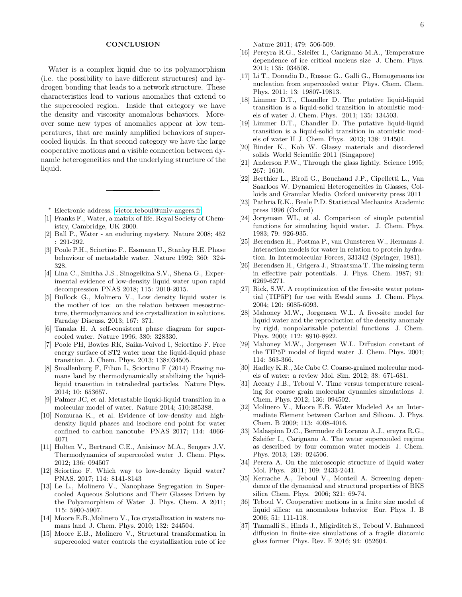## **CONCLUSION**

Water is a complex liquid due to its polyamorphism (i.e. the possibility to have different structures) and hydrogen bonding that leads to a network structure. These characteristics lead to various anomalies that extend to the supercooled region. Inside that category we have the density and viscosity anomalous behaviors. Moreover some new types of anomalies appear at low temperatures, that are mainly amplified behaviors of supercooled liquids. In that second category we have the large cooperative motions and a visible connection between dynamic heterogeneities and the underlying structure of the liquid.

- <span id="page-5-0"></span><sup>∗</sup> Electronic address: [victor.teboul@univ-angers.fr](mailto:victor.teboul@univ-angers.fr)
- <span id="page-5-1"></span>[1] Franks F., Water, a matrix of life. Royal Society of Chemistry, Cambridge, UK 2000.
- <span id="page-5-2"></span>[2] Ball P., Water - an enduring mystery. Nature 2008; 452 : 291-292.
- <span id="page-5-3"></span>[3] Poole P.H., Sciortino F., Essmann U., Stanley H.E. Phase behaviour of metastable water. Nature 1992; 360: 324- 328.
- [4] Lina C., Smitha J.S., Sinogeikina S.V., Shena G., Experimental evidence of low-density liquid water upon rapid decompression PNAS 2018; 115: 2010-2015.
- [5] Bullock G., Molinero V., Low density liquid water is the mother of ice: on the relation between mesostructure, thermodynamics and ice crystallization in solutions. Faraday Discuss. 2013; 167: 371.
- [6] Tanaka H. A self-consistent phase diagram for supercooled water. Nature 1996; 380: 328330.
- [7] Poole PH, Bowles RK, Saika-Voivod I, Sciortino F. Free energy surface of ST2 water near the liquid-liquid phase transition. J. Chem. Phys. 2013; 138:034505.
- [8] Smallenburg F, Filion L, Sciortino F (2014) Erasing nomans land by thermodynamically stabilizing the liquidliquid transition in tetrahedral particles. Nature Phys. 2014; 10: 653657.
- [9] Palmer JC, et al. Metastable liquid-liquid transition in a molecular model of water. Nature 2014; 510:385388.
- [10] Nomuraa K., et al. Evidence of low-density and highdensity liquid phases and isochore end point for water confined to carbon nanotube PNAS 2017; 114: 4066- 4071
- [11] Holten V., Bertrand C.E., Anisimov M.A., Sengers J.V. Thermodynamics of supercooled water J. Chem. Phys. 2012; 136: 094507
- <span id="page-5-4"></span>[12] Sciortino F. Which way to low-density liquid water? PNAS. 2017; 114: 8141-8143
- <span id="page-5-5"></span>[13] Le L., Molinero V., Nanophase Segregation in Supercooled Aqueous Solutions and Their Glasses Driven by the Polyamorphism of Water J. Phys. Chem. A 2011; 115: 5900-5907.
- [14] Moore E.B.,Molinero V., Ice crystallization in waters nomans land J. Chem. Phys. 2010; 132: 244504.
- [15] Moore E.B., Molinero V., Structural transformation in supercooled water controls the crystallization rate of ice

Nature 2011; 479: 506-509.

- [16] Pereyra R.G., Szleifer I., Carignano M.A., Temperature dependence of ice critical nucleus size J. Chem. Phys. 2011; 135: 034508.
- <span id="page-5-6"></span>[17] Li T., Donadio D., Russoc G., Galli G., Homogeneous ice nucleation from supercooled water Phys. Chem. Chem. Phys. 2011; 13: 19807-19813.
- <span id="page-5-7"></span>[18] Limmer D.T., Chandler D. The putative liquid-liquid transition is a liquid-solid transition in atomistic models of water J. Chem. Phys. 2011; 135: 134503.
- <span id="page-5-8"></span>[19] Limmer D.T., Chandler D. The putative liquid-liquid transition is a liquid-solid transition in atomistic models of water II J. Chem. Phys. 2013; 138: 214504.
- <span id="page-5-9"></span>[20] Binder K., Kob W. Glassy materials and disordered solids World Scientific 2011 (Singapore)
- <span id="page-5-10"></span>[21] Anderson P.W., Through the glass lightly. Science 1995; 267: 1610.
- <span id="page-5-11"></span>[22] Berthier L., Biroli G., Bouchaud J.P., Cipelletti L., Van Saarloos W. Dynamical Heterogeneities in Glasses, Colloids and Granular Media Oxford university press 2011
- <span id="page-5-12"></span>[23] Pathria R.K., Beale P.D. Statistical Mechanics Academic press 1996 (Oxford)
- <span id="page-5-13"></span>[24] Jorgensen WL, et al. Comparison of simple potential functions for simulating liquid water. J. Chem. Phys. 1983; 79: 926-935.
- <span id="page-5-16"></span>[25] Berendsen H., Postma P., van Gunsteren W., Hermans J. Interaction models for water in relation to protein hydration. In Intermolecular Forces, 331342 (Springer, 1981).
- <span id="page-5-18"></span>[26] Berendsen H., Grigera J., Straatsma T. The missing term in effective pair potentials. J. Phys. Chem. 1987; 91: 6269-6271.
- <span id="page-5-19"></span>[27] Rick, S.W. A reoptimization of the five-site water potential (TIP5P) for use with Ewald sums J. Chem. Phys. 2004; 120: 6085-6093.
- [28] Mahoney M.W., Jorgensen W.L. A five-site model for liquid water and the reproduction of the density anomaly by rigid, nonpolarizable potential functions J. Chem. Phys. 2000; 112: 8910-8922.
- <span id="page-5-14"></span>[29] Mahoney M.W., Jorgensen W.L. Diffusion constant of the TIP5P model of liquid water J. Chem. Phys. 2001; 114: 363-366.
- <span id="page-5-20"></span>[30] Hadley K.R., Mc Cabe C. Coarse-grained molecular models of water: a review Mol. Sim. 2012; 38: 671-681.
- <span id="page-5-21"></span>[31] Accary J.B., Teboul V. Time versus temperature rescaling for coarse grain molecular dynamics simulations J. Chem. Phys. 2012; 136: 094502.
- <span id="page-5-15"></span>[32] Molinero V., Moore E.B. Water Modeled As an Intermediate Element between Carbon and Silicon. J. Phys. Chem. B 2009; 113: 4008-4016.
- <span id="page-5-17"></span>[33] Malaspina D.C., Bermudez di Lorenzo A.J., ereyra R.G., Szleifer I., Carignano A. The water supercooled regime as described by four common water models J. Chem. Phys. 2013; 139: 024506.
- <span id="page-5-22"></span>[34] Perera A. On the microscopic structure of liquid water Mol. Phys. 2011; 109: 2433-2441.
- <span id="page-5-23"></span>[35] Kerrache A., Teboul V., Monteil A. Screening dependence of the dynamical and structural properties of BKS silica Chem. Phys. 2006; 321: 69-74.
- <span id="page-5-24"></span>[36] Teboul V. Cooperative motions in a finite size model of liquid silica: an anomalous behavior Eur. Phys. J. B 2006; 51: 111-118.
- <span id="page-5-25"></span>[37] Taamalli S., Hinds J., Migirditch S., Teboul V. Enhanced diffusion in finite-size simulations of a fragile diatomic glass former Phys. Rev. E 2016; 94: 052604.